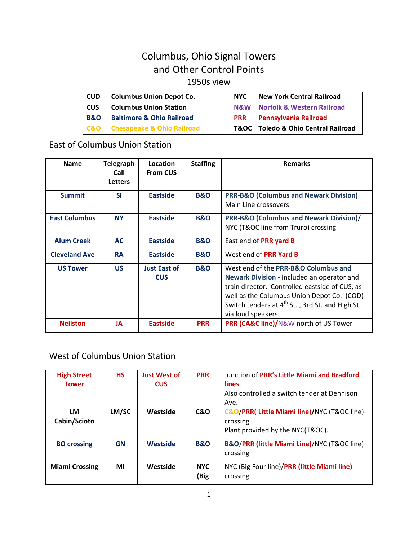# Columbus, Ohio Signal Towers and Other Control Points

### 1950s view

| l CUD          | <b>Columbus Union Depot Co.</b>           | NYC.       | <b>New York Central Railroad</b>               |
|----------------|-------------------------------------------|------------|------------------------------------------------|
| <b>CUS</b>     | <b>Columbus Union Station</b>             |            | N&W Norfolk & Western Railroad                 |
| <b>B&amp;O</b> | <b>Baltimore &amp; Ohio Railroad</b>      | <b>PRR</b> | Pennsylvania Railroad                          |
|                | <b>C&amp;O</b> Chesapeake & Ohio Railroad |            | <b>T&amp;OC</b> Toledo & Ohio Central Railroad |

## East of Columbus Union Station

| <b>Name</b>          | <b>Telegraph</b><br>Call<br><b>Letters</b> | Location<br><b>From CUS</b>       | <b>Staffing</b> | <b>Remarks</b>                                                                                                                                                                                                                                                          |
|----------------------|--------------------------------------------|-----------------------------------|-----------------|-------------------------------------------------------------------------------------------------------------------------------------------------------------------------------------------------------------------------------------------------------------------------|
| <b>Summit</b>        | <b>SI</b>                                  | <b>Eastside</b>                   | <b>B&amp;O</b>  | <b>PRR-B&amp;O (Columbus and Newark Division)</b><br>Main Line crossovers                                                                                                                                                                                               |
| <b>East Columbus</b> | <b>NY</b>                                  | <b>Eastside</b>                   | <b>B&amp;O</b>  | PRR-B&O (Columbus and Newark Division)/<br>NYC (T&OC line from Truro) crossing                                                                                                                                                                                          |
| <b>Alum Creek</b>    | <b>AC</b>                                  | <b>Eastside</b>                   | <b>B&amp;O</b>  | East end of PRR yard B                                                                                                                                                                                                                                                  |
| <b>Cleveland Ave</b> | <b>RA</b>                                  | <b>Eastside</b>                   | <b>B&amp;O</b>  | West end of PRR Yard B                                                                                                                                                                                                                                                  |
| <b>US Tower</b>      | <b>US</b>                                  | <b>Just East of</b><br><b>CUS</b> | <b>B&amp;O</b>  | West end of the PRR-B&O Columbus and<br>Newark Division - Included an operator and<br>train director. Controlled eastside of CUS, as<br>well as the Columbus Union Depot Co. (COD)<br>Switch tenders at 4 <sup>th</sup> St., 3rd St. and High St.<br>via loud speakers. |
| <b>Neilston</b>      | JA                                         | <b>Eastside</b>                   | <b>PRR</b>      | PRR (CA&C line)/N&W north of US Tower                                                                                                                                                                                                                                   |

### West of Columbus Union Station

| <b>High Street</b><br><b>Tower</b> | <b>HS</b> | <b>Just West of</b><br><b>CUS</b> | <b>PRR</b>         | Junction of PRR's Little Miami and Bradford<br>lines.<br>Also controlled a switch tender at Dennison<br>Ave. |
|------------------------------------|-----------|-----------------------------------|--------------------|--------------------------------------------------------------------------------------------------------------|
| LM<br>Cabin/Scioto                 | LM/SC     | Westside                          | <b>C&amp;O</b>     | C&O/PRR(Little Miami line)/NYC (T&OC line)<br>crossing<br>Plant provided by the NYC(T&OC).                   |
| <b>BO</b> crossing                 | <b>GN</b> | <b>Westside</b>                   | <b>B&amp;O</b>     | B&O/PRR (little Miami Line)/NYC (T&OC line)<br>crossing                                                      |
| <b>Miami Crossing</b>              | ΜI        | Westside                          | <b>NYC</b><br>(Big | NYC (Big Four line)/PRR (little Miami line)<br>crossing                                                      |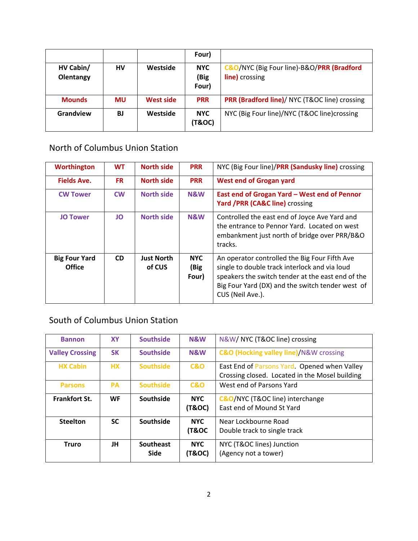|               |           |                  | Four)                |                                                          |
|---------------|-----------|------------------|----------------------|----------------------------------------------------------|
| HV Cabin/     | HV        | Westside         | <b>NYC</b>           | C&O/NYC (Big Four line)-B&O/PRR (Bradford                |
| Olentangy     |           |                  | (Big                 | <b>line)</b> crossing                                    |
|               |           |                  | Four)                |                                                          |
| <b>Mounds</b> | MU        | <b>West side</b> | <b>PRR</b>           | <b>PRR (Bradford line)/ NYC (T&amp;OC line) crossing</b> |
| Grandview     | <b>BJ</b> | Westside         | <b>NYC</b><br>(T&OC) | NYC (Big Four line)/NYC (T&OC line)crossing              |

### North of Columbus Union Station

| <b>Worthington</b>                    | <b>WT</b> | <b>North side</b>           | <b>PRR</b>                  | NYC (Big Four line)/PRR (Sandusky line) crossing                                                                                                                                                                            |
|---------------------------------------|-----------|-----------------------------|-----------------------------|-----------------------------------------------------------------------------------------------------------------------------------------------------------------------------------------------------------------------------|
| <b>Fields Ave.</b>                    | FR.       | <b>North side</b>           | <b>PRR</b>                  | <b>West end of Grogan yard</b>                                                                                                                                                                                              |
| <b>CW Tower</b>                       | <b>CW</b> | <b>North side</b>           | N&W                         | East end of Grogan Yard - West end of Pennor<br>Yard /PRR (CA&C line) crossing                                                                                                                                              |
| <b>JO Tower</b>                       | JO        | <b>North side</b>           | N&W                         | Controlled the east end of Joyce Ave Yard and<br>the entrance to Pennor Yard. Located on west<br>embankment just north of bridge over PRR/B&O<br>tracks.                                                                    |
| <b>Big Four Yard</b><br><b>Office</b> | <b>CD</b> | <b>Just North</b><br>of CUS | <b>NYC</b><br>(Big<br>Four) | An operator controlled the Big Four Fifth Ave<br>single to double track interlock and via loud<br>speakers the switch tender at the east end of the<br>Big Four Yard (DX) and the switch tender west of<br>CUS (Neil Ave.). |

## South of Columbus Union Station

| <b>Bannon</b>          | <b>XY</b> | <b>Southside</b> | N&W            | N&W/ NYC (T&OC line) crossing                         |
|------------------------|-----------|------------------|----------------|-------------------------------------------------------|
| <b>Valley Crossing</b> | <b>SK</b> | <b>Southside</b> | <b>N&amp;W</b> | <b>C&amp;O (Hocking valley line)/N&amp;W crossing</b> |
| <b>HX Cabin</b>        | <b>HX</b> | <b>Southside</b> | <b>C&amp;O</b> | East End of Parsons Yard. Opened when Valley          |
|                        |           |                  |                | Crossing closed. Located in the Mosel building        |
| <b>Parsons</b>         | <b>PA</b> | <b>Southside</b> | C & O          | West end of Parsons Yard                              |
| <b>Frankfort St.</b>   | <b>WF</b> | Southside        | <b>NYC</b>     | <b>C&amp;O/NYC (T&amp;OC line) interchange</b>        |
|                        |           |                  | (T&OC)         | <b>Fast end of Mound St Yard</b>                      |
| <b>Steelton</b>        | <b>SC</b> | Southside        | <b>NYC</b>     | Near Lockbourne Road                                  |
|                        |           |                  | (T&OC          | Double track to single track                          |
| <b>Truro</b>           | JH        | Southeast        | <b>NYC</b>     | NYC (T&OC lines) Junction                             |
|                        |           | <b>Side</b>      | (T&OC)         | (Agency not a tower)                                  |